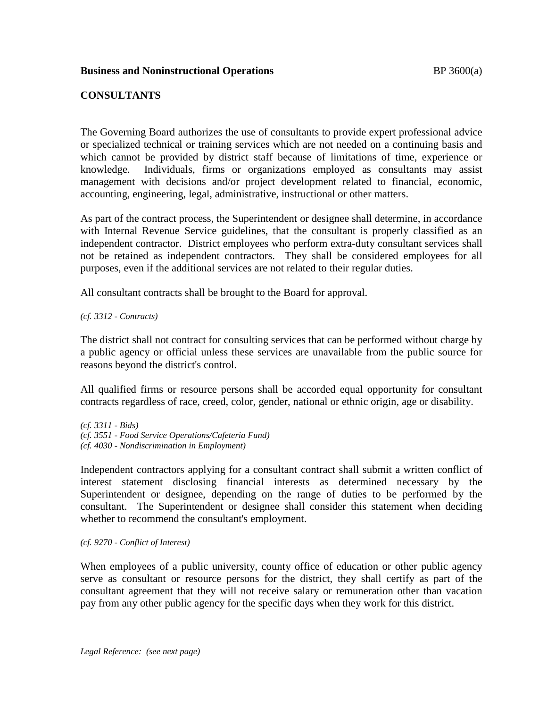# **Business and Noninstructional Operations BP** 3600(a)

## **CONSULTANTS**

The Governing Board authorizes the use of consultants to provide expert professional advice or specialized technical or training services which are not needed on a continuing basis and which cannot be provided by district staff because of limitations of time, experience or knowledge. Individuals, firms or organizations employed as consultants may assist management with decisions and/or project development related to financial, economic, accounting, engineering, legal, administrative, instructional or other matters.

As part of the contract process, the Superintendent or designee shall determine, in accordance with Internal Revenue Service guidelines, that the consultant is properly classified as an independent contractor. District employees who perform extra-duty consultant services shall not be retained as independent contractors. They shall be considered employees for all purposes, even if the additional services are not related to their regular duties.

All consultant contracts shall be brought to the Board for approval.

*(cf. 3312 - Contracts)*

The district shall not contract for consulting services that can be performed without charge by a public agency or official unless these services are unavailable from the public source for reasons beyond the district's control.

All qualified firms or resource persons shall be accorded equal opportunity for consultant contracts regardless of race, creed, color, gender, national or ethnic origin, age or disability.

*(cf. 3311 - Bids) (cf. 3551 - Food Service Operations/Cafeteria Fund) (cf. 4030 - Nondiscrimination in Employment)*

Independent contractors applying for a consultant contract shall submit a written conflict of interest statement disclosing financial interests as determined necessary by the Superintendent or designee, depending on the range of duties to be performed by the consultant. The Superintendent or designee shall consider this statement when deciding whether to recommend the consultant's employment.

### *(cf. 9270 - Conflict of Interest)*

When employees of a public university, county office of education or other public agency serve as consultant or resource persons for the district, they shall certify as part of the consultant agreement that they will not receive salary or remuneration other than vacation pay from any other public agency for the specific days when they work for this district.